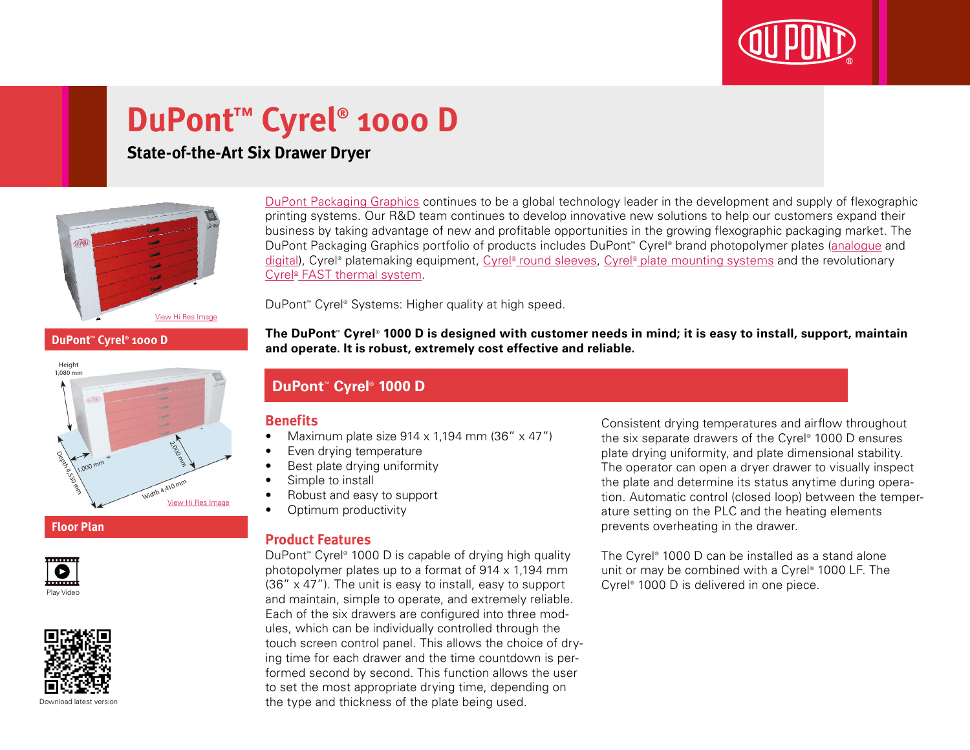

# **DuPont™ Cyrel® 1000 D**

## **State-of-the-Art Six Drawer Dryer**



**DuPont™ Cyrel® 1000 D**



**Floor Plan**





[DuPont Packaging Graphics](http://www2.dupont.com/Packaging_Graphics/en_GB/index.html) continues to be a global technology leader in the development and supply of flexographic printing systems. Our R&D team continues to develop innovative new solutions to help our customers expand their business by taking advantage of new and profitable opportunities in the growing flexographic packaging market. The DuPont Packaging Graphics portfolio of products includes DuPont™ Cyrel® brand photopolymer plates ([analogue](http://www2.dupont.com/Packaging_Graphics/en_GB/products/solvent_platemaking/index.html) and [digital\)](http://www2.dupont.com/Packaging_Graphics/en_GB/products/digital_wkflow/digital_workflow.html), Cyrel® platemaking equipment, Cyrel® [round sleeves](http://www2.dupont.com/Packaging_Graphics/en_GB/products/cyrel_round/index_cyrelround2.html), Cyrel® [plate mounting systems](http://www2.dupont.com/Packaging_Graphics/en_GB/products/mounting_systems/index.html) and the revolutionary Cyrel<sup>®</sup> [FAST thermal system.](http://www2.dupont.com/Packaging_Graphics/en_GB/products/cyrel_fast/cyrelfast_index.html)

DuPont™ Cyrel® Systems: Higher quality at high speed.

**The DuPont™ Cyrel® 1000 D is designed with customer needs in mind; it is easy to install, support, maintain and operate. It is robust, extremely cost effective and reliable.**

### **DuPont™ Cyrel® 1000 D**

#### **Benefits**

- Maximum plate size  $914 \times 1,194$  mm (36"  $\times$  47")
- Even drying temperature
- Best plate drying uniformity
- Simple to install
- Robust and easy to support
- Optimum productivity

#### **Product Features**

DuPont™ Cyrel® 1000 D is capable of drying high quality photopolymer plates up to a format of 914 x 1,194 mm  $(36'' \times 47'')$ . The unit is easy to install, easy to support and maintain, simple to operate, and extremely reliable. Each of the six drawers are configured into three modules, which can be individually controlled through the touch screen control panel. This allows the choice of drying time for each drawer and the time countdown is performed second by second. This function allows the user to set the most appropriate drying time, depending on the type and thickness of the plate being used.

Consistent drying temperatures and airflow throughout the six separate drawers of the Cyrel® 1000 D ensures plate drying uniformity, and plate dimensional stability. The operator can open a dryer drawer to visually inspect the plate and determine its status anytime during operation. Automatic control (closed loop) between the temperature setting on the PLC and the heating elements prevents overheating in the drawer.

The Cyrel® 1000 D can be installed as a stand alone unit or may be combined with a Cyrel® 1000 LF. The Cyrel® 1000 D is delivered in one piece.

Download latest versio